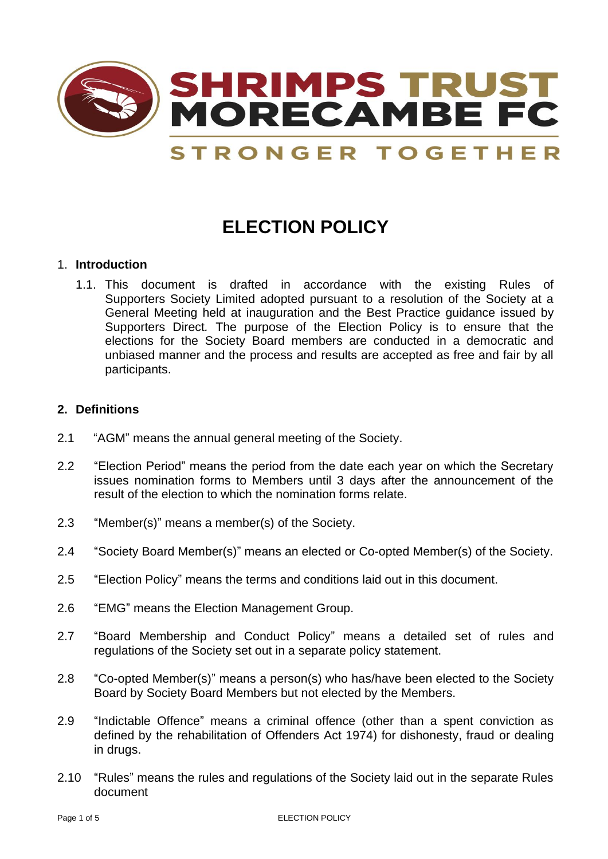

# **ELECTION POLICY**

### 1. **Introduction**

1.1. This document is drafted in accordance with the existing Rules of Supporters Society Limited adopted pursuant to a resolution of the Society at a General Meeting held at inauguration and the Best Practice guidance issued by Supporters Direct*.* The purpose of the Election Policy is to ensure that the elections for the Society Board members are conducted in a democratic and unbiased manner and the process and results are accepted as free and fair by all participants.

# **2. Definitions**

- 2.1 "AGM" means the annual general meeting of the Society.
- 2.2 "Election Period" means the period from the date each year on which the Secretary issues nomination forms to Members until 3 days after the announcement of the result of the election to which the nomination forms relate.
- 2.3 "Member(s)" means a member(s) of the Society.
- 2.4 "Society Board Member(s)" means an elected or Co-opted Member(s) of the Society.
- 2.5 "Election Policy" means the terms and conditions laid out in this document.
- 2.6 "EMG" means the Election Management Group.
- 2.7 "Board Membership and Conduct Policy" means a detailed set of rules and regulations of the Society set out in a separate policy statement.
- 2.8 "Co-opted Member(s)" means a person(s) who has/have been elected to the Society Board by Society Board Members but not elected by the Members.
- 2.9 "Indictable Offence" means a criminal offence (other than a spent conviction as defined by the rehabilitation of Offenders Act 1974) for dishonesty, fraud or dealing in drugs.
- 2.10 "Rules" means the rules and regulations of the Society laid out in the separate Rules document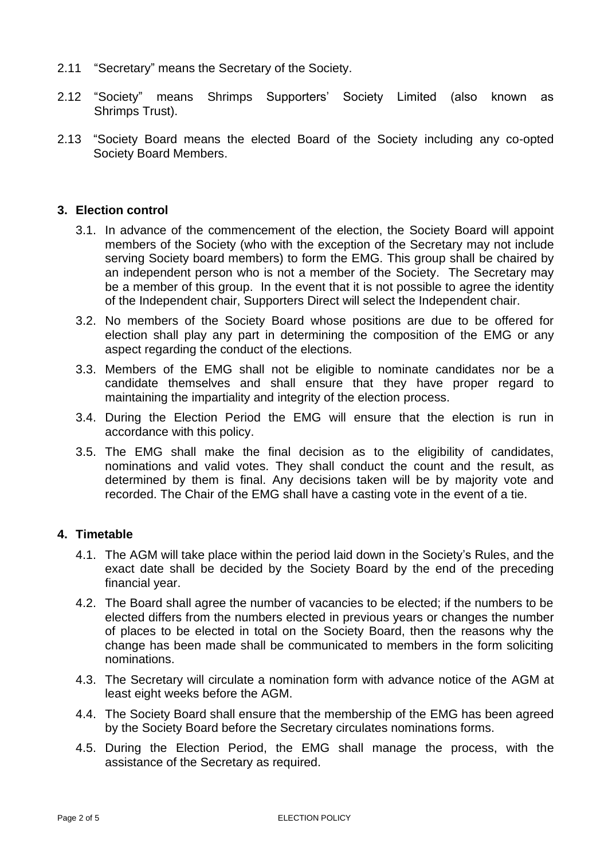- 2.11 "Secretary" means the Secretary of the Society.
- 2.12 "Society" means Shrimps Supporters' Society Limited (also known as Shrimps Trust).
- 2.13 "Society Board means the elected Board of the Society including any co-opted Society Board Members.

## **3. Election control**

- 3.1. In advance of the commencement of the election, the Society Board will appoint members of the Society (who with the exception of the Secretary may not include serving Society board members) to form the EMG. This group shall be chaired by an independent person who is not a member of the Society. The Secretary may be a member of this group. In the event that it is not possible to agree the identity of the Independent chair, Supporters Direct will select the Independent chair.
- 3.2. No members of the Society Board whose positions are due to be offered for election shall play any part in determining the composition of the EMG or any aspect regarding the conduct of the elections.
- 3.3. Members of the EMG shall not be eligible to nominate candidates nor be a candidate themselves and shall ensure that they have proper regard to maintaining the impartiality and integrity of the election process.
- 3.4. During the Election Period the EMG will ensure that the election is run in accordance with this policy.
- 3.5. The EMG shall make the final decision as to the eligibility of candidates, nominations and valid votes. They shall conduct the count and the result, as determined by them is final. Any decisions taken will be by majority vote and recorded. The Chair of the EMG shall have a casting vote in the event of a tie.

## **4. Timetable**

- 4.1. The AGM will take place within the period laid down in the Society's Rules, and the exact date shall be decided by the Society Board by the end of the preceding financial year.
- 4.2. The Board shall agree the number of vacancies to be elected; if the numbers to be elected differs from the numbers elected in previous years or changes the number of places to be elected in total on the Society Board, then the reasons why the change has been made shall be communicated to members in the form soliciting nominations.
- 4.3. The Secretary will circulate a nomination form with advance notice of the AGM at least eight weeks before the AGM.
- 4.4. The Society Board shall ensure that the membership of the EMG has been agreed by the Society Board before the Secretary circulates nominations forms.
- 4.5. During the Election Period, the EMG shall manage the process, with the assistance of the Secretary as required.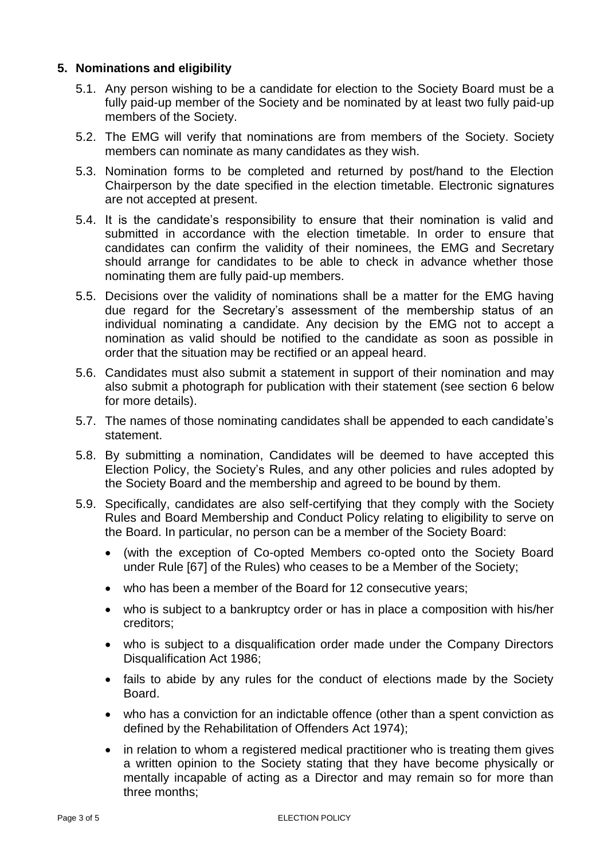# **5. Nominations and eligibility**

- 5.1. Any person wishing to be a candidate for election to the Society Board must be a fully paid-up member of the Society and be nominated by at least two fully paid-up members of the Society.
- 5.2. The EMG will verify that nominations are from members of the Society. Society members can nominate as many candidates as they wish.
- 5.3. Nomination forms to be completed and returned by post/hand to the Election Chairperson by the date specified in the election timetable. Electronic signatures are not accepted at present.
- 5.4. It is the candidate's responsibility to ensure that their nomination is valid and submitted in accordance with the election timetable. In order to ensure that candidates can confirm the validity of their nominees, the EMG and Secretary should arrange for candidates to be able to check in advance whether those nominating them are fully paid-up members.
- 5.5. Decisions over the validity of nominations shall be a matter for the EMG having due regard for the Secretary's assessment of the membership status of an individual nominating a candidate. Any decision by the EMG not to accept a nomination as valid should be notified to the candidate as soon as possible in order that the situation may be rectified or an appeal heard.
- 5.6. Candidates must also submit a statement in support of their nomination and may also submit a photograph for publication with their statement (see section 6 below for more details).
- 5.7. The names of those nominating candidates shall be appended to each candidate's statement.
- 5.8. By submitting a nomination, Candidates will be deemed to have accepted this Election Policy, the Society's Rules, and any other policies and rules adopted by the Society Board and the membership and agreed to be bound by them.
- 5.9. Specifically, candidates are also self-certifying that they comply with the Society Rules and Board Membership and Conduct Policy relating to eligibility to serve on the Board. In particular, no person can be a member of the Society Board:
	- (with the exception of Co-opted Members co-opted onto the Society Board under Rule [67] of the Rules) who ceases to be a Member of the Society;
	- who has been a member of the Board for 12 consecutive vears:
	- who is subject to a bankruptcy order or has in place a composition with his/her creditors;
	- who is subject to a disqualification order made under the Company Directors Disqualification Act 1986;
	- fails to abide by any rules for the conduct of elections made by the Society Board.
	- who has a conviction for an indictable offence (other than a spent conviction as defined by the Rehabilitation of Offenders Act 1974);
	- in relation to whom a registered medical practitioner who is treating them gives a written opinion to the Society stating that they have become physically or mentally incapable of acting as a Director and may remain so for more than three months;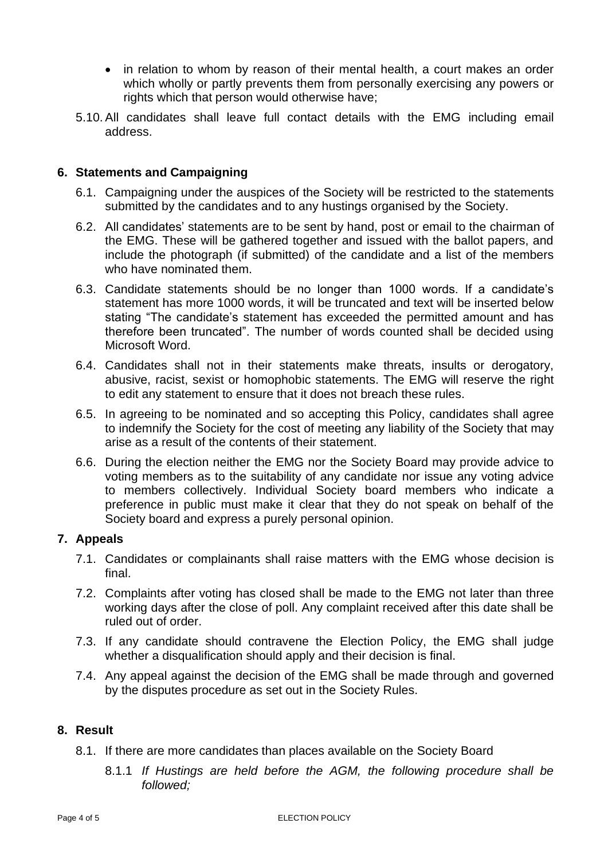- in relation to whom by reason of their mental health, a court makes an order which wholly or partly prevents them from personally exercising any powers or rights which that person would otherwise have;
- 5.10. All candidates shall leave full contact details with the EMG including email address.

## **6. Statements and Campaigning**

- 6.1. Campaigning under the auspices of the Society will be restricted to the statements submitted by the candidates and to any hustings organised by the Society.
- 6.2. All candidates' statements are to be sent by hand, post or email to the chairman of the EMG. These will be gathered together and issued with the ballot papers, and include the photograph (if submitted) of the candidate and a list of the members who have nominated them.
- 6.3. Candidate statements should be no longer than 1000 words. If a candidate's statement has more 1000 words, it will be truncated and text will be inserted below stating "The candidate's statement has exceeded the permitted amount and has therefore been truncated". The number of words counted shall be decided using Microsoft Word.
- 6.4. Candidates shall not in their statements make threats, insults or derogatory, abusive, racist, sexist or homophobic statements. The EMG will reserve the right to edit any statement to ensure that it does not breach these rules.
- 6.5. In agreeing to be nominated and so accepting this Policy, candidates shall agree to indemnify the Society for the cost of meeting any liability of the Society that may arise as a result of the contents of their statement.
- 6.6. During the election neither the EMG nor the Society Board may provide advice to voting members as to the suitability of any candidate nor issue any voting advice to members collectively. Individual Society board members who indicate a preference in public must make it clear that they do not speak on behalf of the Society board and express a purely personal opinion.

#### **7. Appeals**

- 7.1. Candidates or complainants shall raise matters with the EMG whose decision is final.
- 7.2. Complaints after voting has closed shall be made to the EMG not later than three working days after the close of poll. Any complaint received after this date shall be ruled out of order.
- 7.3. If any candidate should contravene the Election Policy, the EMG shall judge whether a disqualification should apply and their decision is final.
- 7.4. Any appeal against the decision of the EMG shall be made through and governed by the disputes procedure as set out in the Society Rules.

# **8. Result**

- 8.1. If there are more candidates than places available on the Society Board
	- 8.1.1 *If Hustings are held before the AGM, the following procedure shall be followed;*